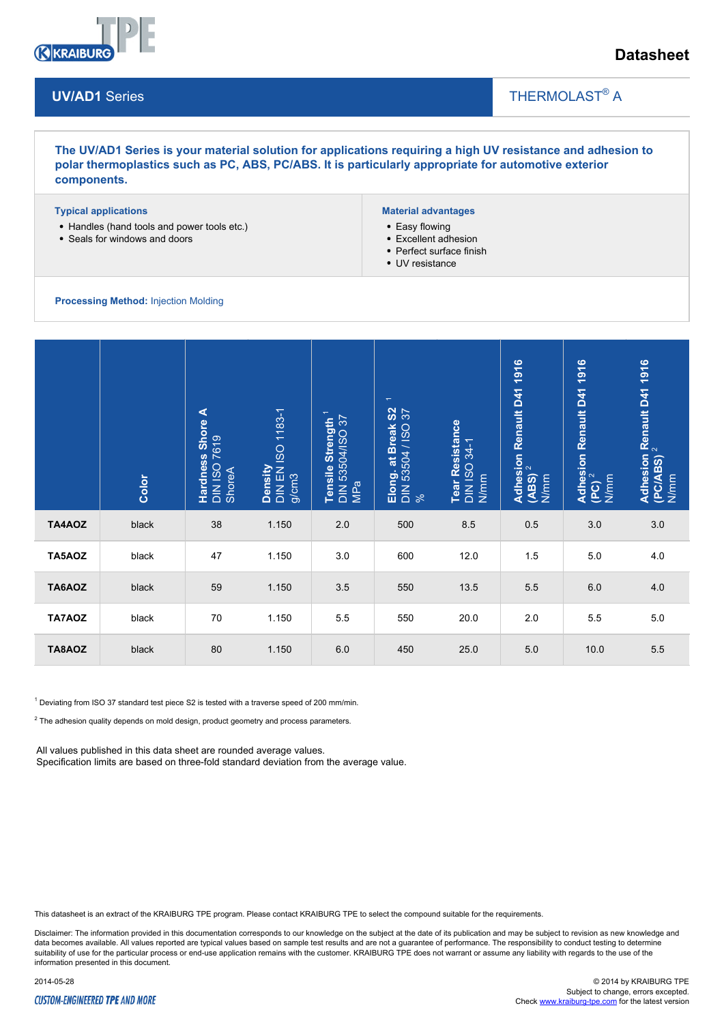

# **Datasheet**

#### **UV/AD1** Series

# THERMOLAST<sup>®</sup> A

 $\overline{\phantom{a}}$ 

**The UV/AD1 Series is your material solution for applications requiring a high UV resistance and adhesion to polar thermoplastics such as PC, ABS, PC/ABS. It is particularly appropriate for automotive exterior components.**

#### **Typical applications**

- Handles (hand tools and power tools etc.)
- Seals for windows and doors

## **Material advantages**

- Easy flowing
- Excellent adhesion
- Perfect surface finish
- UV resistance

#### **Processing Method:** Injection Molding

|                                                                                                                                                                                                                                                                                                                                                                         | Color | Hardness Shore A<br>DIN ISO 7619<br>ShoreA | Density<br>DIN EN ISO 1183-1<br>g/cm3 | Tensile Strength <sup>1</sup><br>DIN 53504/ISO 37<br>MPa | $\overline{\phantom{m}}$<br>Elong. at Break S2<br>DIN 53504 / ISO 37<br>% | Tear Resistance<br>DIN ISO 34-1<br>N/mm | 1916<br>Adhesion Renault D41 1<br>(ABS) <sup>2</sup><br>N/mm | Adhesion Renault D41 1916<br>(PC) <sup>2</sup><br>N/mm | Adhesion Renault D41 1916<br>(PC/ABS) <sup>2</sup><br>N/mm |
|-------------------------------------------------------------------------------------------------------------------------------------------------------------------------------------------------------------------------------------------------------------------------------------------------------------------------------------------------------------------------|-------|--------------------------------------------|---------------------------------------|----------------------------------------------------------|---------------------------------------------------------------------------|-----------------------------------------|--------------------------------------------------------------|--------------------------------------------------------|------------------------------------------------------------|
| TA4AOZ                                                                                                                                                                                                                                                                                                                                                                  | black | 38                                         | 1.150                                 | 2.0                                                      | 500                                                                       | 8.5                                     | 0.5                                                          | 3.0                                                    | 3.0                                                        |
| TA5AOZ                                                                                                                                                                                                                                                                                                                                                                  | black | 47                                         | 1.150                                 | 3.0                                                      | 600                                                                       | 12.0                                    | 1.5                                                          | 5.0                                                    | 4.0                                                        |
| TA6AOZ                                                                                                                                                                                                                                                                                                                                                                  | black | 59                                         | 1.150                                 | 3.5                                                      | 550                                                                       | 13.5                                    | 5.5                                                          | 6.0                                                    | 4.0                                                        |
| TA7AOZ                                                                                                                                                                                                                                                                                                                                                                  | black | 70                                         | 1.150                                 | 5.5                                                      | 550                                                                       | 20.0                                    | 2.0                                                          | 5.5                                                    | 5.0                                                        |
| TA8AOZ                                                                                                                                                                                                                                                                                                                                                                  | black | 80                                         | 1.150                                 | 6.0                                                      | 450                                                                       | 25.0                                    | $5.0$                                                        | 10.0                                                   | 5.5                                                        |
| $1$ Deviating from ISO 37 standard test piece S2 is tested with a traverse speed of 200 mm/min.<br><sup>2</sup> The adhesion quality depends on mold design, product geometry and process parameters.<br>All values published in this data sheet are rounded average values.<br>Specification limits are based on three-fold standard deviation from the average value. |       |                                            |                                       |                                                          |                                                                           |                                         |                                                              |                                                        |                                                            |

This datasheet is an extract of the KRAIBURG TPE program. Please contact KRAIBURG TPE to select the compound suitable for the requirements.

Disclaimer: The information provided in this documentation corresponds to our knowledge on the subject at the date of its publication and may be subject to revision as new knowledge and data becomes available. All values reported are typical values based on sample test results and are not a guarantee of performance. The responsibility to conduct testing to determine suitability of use for the particular process or end-use application remains with the customer. KRAIBURG TPE does not warrant or assume any liability with regards to the use of the information presented in this document.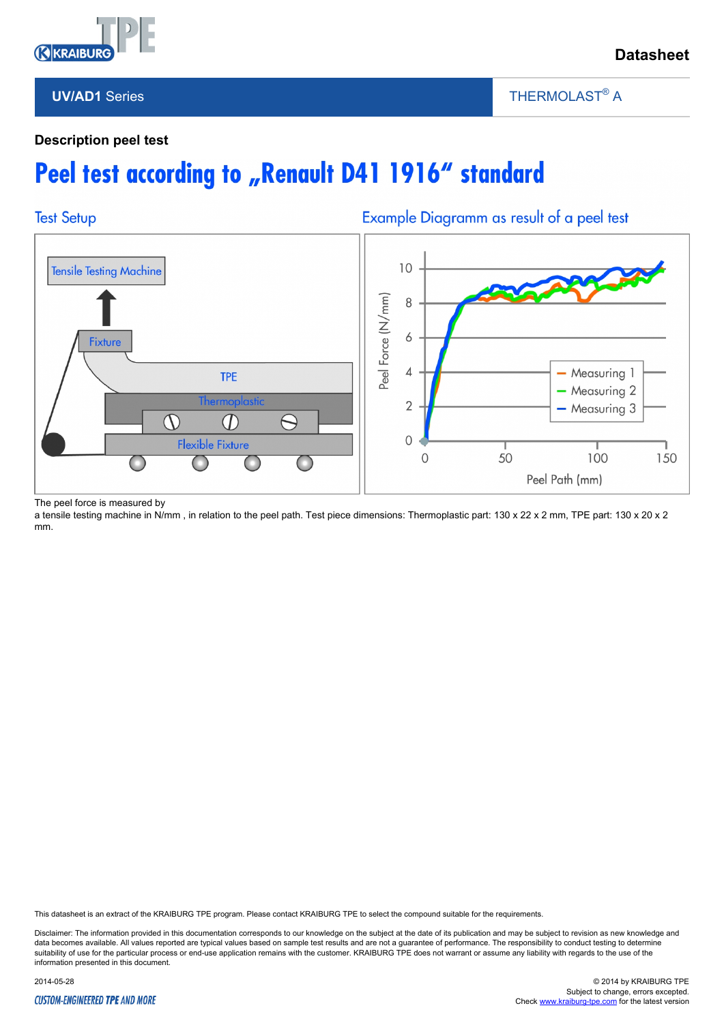

# **Datasheet**

## **UV/AD1** Series

THERMOLAST<sup>®</sup> A

 $\overline{\phantom{a}}$ 

## **Description peel test**

# Peel test according to "Renault D41 1916" standard



The peel force is measured by

a tensile testing machine in N/mm, in relation to the peel path. Test piece dimensions: Thermoplastic part: 130 x 22 x 2 mm, TPE part: 130 x 20 x 2 mm.

This datasheet is an extract of the KRAIBURG TPE program. Please contact KRAIBURG TPE to select the compound suitable for the requirements.

Disclaimer: The information provided in this documentation corresponds to our knowledge on the subject at the date of its publication and may be subject to revision as new knowledge and data becomes available. All values reported are typical values based on sample test results and are not a guarantee of performance. The responsibility to conduct testing to determine suitability of use for the particular process or end-use application remains with the customer. KRAIBURG TPE does not warrant or assume any liability with regards to the use of the information presented in this document.